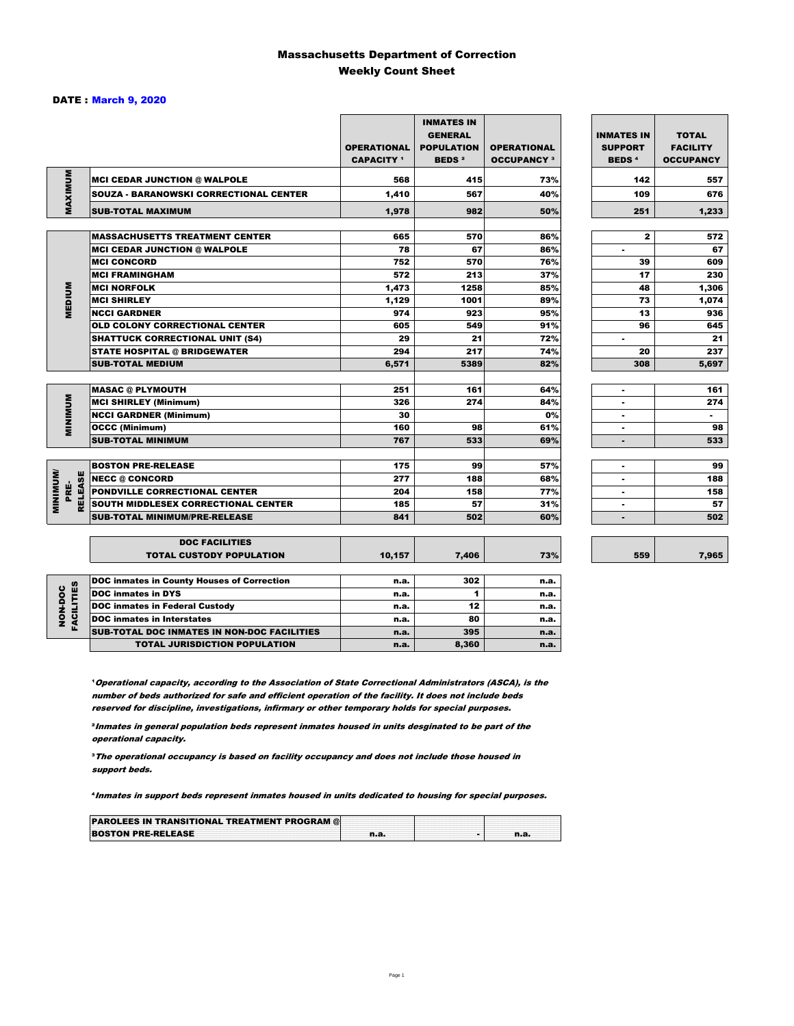### Massachusetts Department of Correction Weekly Count Sheet

### DATE : March 9, 2020

|                                           |                                                   | <b>OPERATIONAL</b><br><b>CAPACITY</b> 1 | <b>INMATES IN</b><br><b>GENERAL</b><br><b>POPULATION</b><br><b>BEDS<sup>2</sup></b> | <b>OPERATIONAL</b><br><b>OCCUPANCY 3</b> | <b>INMATES IN</b><br><b>SUPPORT</b><br><b>BEDS<sup>4</sup></b> | <b>TOTAL</b><br><b>FACILITY</b><br><b>OCCUPANCY</b> |
|-------------------------------------------|---------------------------------------------------|-----------------------------------------|-------------------------------------------------------------------------------------|------------------------------------------|----------------------------------------------------------------|-----------------------------------------------------|
|                                           | <b>MCI CEDAR JUNCTION @ WALPOLE</b>               | 568                                     | 415                                                                                 | 73%                                      | 142                                                            | 557                                                 |
|                                           | <b>SOUZA - BARANOWSKI CORRECTIONAL CENTER</b>     | 1,410                                   | 567                                                                                 | 40%                                      | 109                                                            | 676                                                 |
| MAXIMUM                                   | <b>SUB-TOTAL MAXIMUM</b>                          | 1,978                                   | 982                                                                                 | 50%                                      | 251                                                            | 1,233                                               |
|                                           | <b>MASSACHUSETTS TREATMENT CENTER</b>             | 665                                     | 570                                                                                 | 86%                                      | $\mathbf{z}$                                                   | 572                                                 |
|                                           | <b>MCI CEDAR JUNCTION @ WALPOLE</b>               | 78                                      | 67                                                                                  | 86%                                      | ٠                                                              | 67                                                  |
|                                           | <b>IMCI CONCORD</b>                               | 752                                     | 570                                                                                 | 76%                                      | 39                                                             | 609                                                 |
|                                           | <b>MCI FRAMINGHAM</b>                             | 572                                     | 213                                                                                 | 37%                                      | 17                                                             | 230                                                 |
|                                           | <b>MCI NORFOLK</b>                                | 1,473                                   | 1258                                                                                | 85%                                      | 48                                                             | 1,306                                               |
| <b>MEDIUM</b>                             | <b>MCI SHIRLEY</b>                                | 1,129                                   | 1001                                                                                | 89%                                      | 73                                                             | 1,074                                               |
|                                           | <b>NCCI GARDNER</b>                               | 974                                     | 923                                                                                 | 95%                                      | 13                                                             | 936                                                 |
|                                           | <b>OLD COLONY CORRECTIONAL CENTER</b>             | 605                                     | 549                                                                                 | 91%                                      | 96                                                             | 645                                                 |
|                                           | <b>SHATTUCK CORRECTIONAL UNIT (S4)</b>            | 29                                      | 21                                                                                  | 72%                                      | ٠                                                              | 21                                                  |
|                                           | <b>STATE HOSPITAL @ BRIDGEWATER</b>               | 294                                     | 217                                                                                 | 74%                                      | 20                                                             | 237                                                 |
|                                           | <b>SUB-TOTAL MEDIUM</b>                           | 6,571                                   | 5389                                                                                | 82%                                      | 308                                                            | 5,697                                               |
|                                           |                                                   |                                         |                                                                                     |                                          |                                                                |                                                     |
|                                           | <b>MASAC @ PLYMOUTH</b>                           | 251                                     | 161                                                                                 | 64%                                      | ٠                                                              | 161                                                 |
| <b>MINIMUM</b>                            | <b>MCI SHIRLEY (Minimum)</b>                      | 326                                     | 274                                                                                 | 84%                                      |                                                                | 274                                                 |
|                                           | <b>NCCI GARDNER (Minimum)</b>                     | 30                                      |                                                                                     | 0%                                       | ٠                                                              | $\sim$                                              |
|                                           | <b>OCCC (Minimum)</b>                             | 160                                     | 98                                                                                  | 61%                                      | $\blacksquare$                                                 | 98                                                  |
|                                           | <b>SUB-TOTAL MINIMUM</b>                          | 767                                     | 533                                                                                 | 69%                                      |                                                                | 533                                                 |
|                                           |                                                   |                                         |                                                                                     |                                          |                                                                |                                                     |
|                                           | <b>BOSTON PRE-RELEASE</b>                         | 175                                     | 99                                                                                  | 57%                                      | ٠                                                              | 99                                                  |
|                                           | <b>INECC @ CONCORD</b>                            | 277                                     | 188                                                                                 | 68%                                      |                                                                | 188                                                 |
| <b>MINIMINI</b><br><b>RELEASE</b><br>PRE- | PONDVILLE CORRECTIONAL CENTER                     | 204                                     | 158                                                                                 | 77%                                      | $\overline{a}$                                                 | 158                                                 |
|                                           | SOUTH MIDDLESEX CORRECTIONAL CENTER               | 185<br>841                              | 57                                                                                  | 31%                                      | ٠                                                              | 57<br>502                                           |
|                                           | <b>SUB-TOTAL MINIMUM/PRE-RELEASE</b>              |                                         | 502                                                                                 | 60%                                      | ٠                                                              |                                                     |
|                                           | <b>DOC FACILITIES</b>                             |                                         |                                                                                     |                                          |                                                                |                                                     |
|                                           | <b>TOTAL CUSTODY POPULATION</b>                   | 10,157                                  | 7,406                                                                               | 73%                                      | 559                                                            | 7,965                                               |
|                                           | <b>DOC inmates in County Houses of Correction</b> | n.a.                                    | 302                                                                                 | n.a.                                     |                                                                |                                                     |
| FACILITIES                                | <b>DOC</b> inmates in DYS                         | n.a.                                    | 1                                                                                   | n.a.                                     |                                                                |                                                     |
| NON-DOC                                   | <b>DOC inmates in Federal Custody</b>             | n.a.                                    | 12                                                                                  | n.a.                                     |                                                                |                                                     |
|                                           | <b>DOC</b> inmates in Interstates                 | n.a.                                    | 80                                                                                  | n.a.                                     |                                                                |                                                     |
|                                           | CUR TOTAL BOO INIMETED IN NON BOO FAOU ITIED      |                                         | $20 -$                                                                              |                                          |                                                                |                                                     |

7,965

**Operational capacity, according to the Association of State Correctional Administrators (ASCA), is the** number of beds authorized for safe and efficient operation of the facility. It does not include beds reserved for discipline, investigations, infirmary or other temporary holds for special purposes.

SUB-TOTAL DOC INMATES IN NON-DOC FACILITIES n.a. 395 n.a. 395

TOTAL JURISDICTION POPULATION **n.a.** 8,360 n.a.

²Inmates in general population beds represent inmates housed in units desginated to be part of the operational capacity.

³The operational occupancy is based on facility occupancy and does not include those housed in support beds.

⁴Inmates in support beds represent inmates housed in units dedicated to housing for special purposes.

| <b>PAROLEES IN TRANSITIONAL TREATMENT PROGRAM @</b> |  |  |
|-----------------------------------------------------|--|--|
| <b>BOSTON PRE-RELEASE</b>                           |  |  |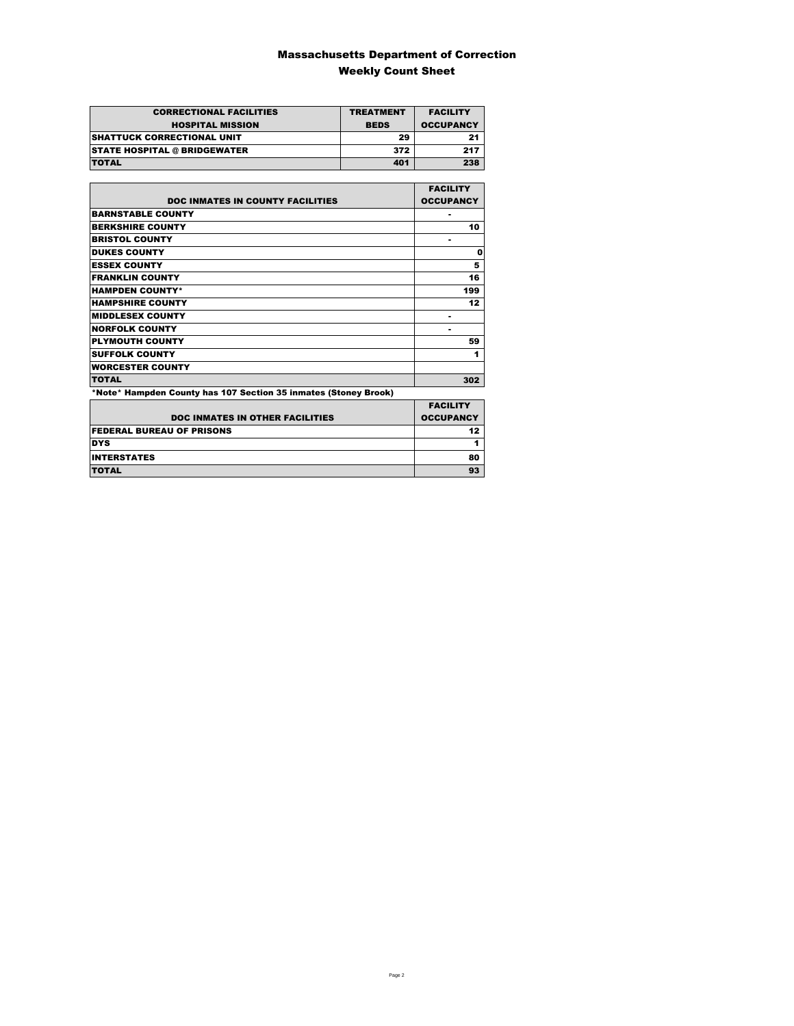### Massachusetts Department of Correction Weekly Count Sheet

| <b>CORRECTIONAL FACILITIES</b>      | <b>TREATMENT</b> | <b>FACILITY</b>  |
|-------------------------------------|------------------|------------------|
| <b>HOSPITAL MISSION</b>             | <b>BEDS</b>      | <b>OCCUPANCY</b> |
| <b>SHATTUCK CORRECTIONAL UNIT</b>   | 29               | 21               |
| <b>STATE HOSPITAL @ BRIDGEWATER</b> | 372              | 217              |
| <b>TOTAL</b>                        | 401              | 238              |

|                                                                 | <b>FACILITY</b>  |
|-----------------------------------------------------------------|------------------|
| <b>DOC INMATES IN COUNTY FACILITIES</b>                         | <b>OCCUPANCY</b> |
| <b>BARNSTABLE COUNTY</b>                                        |                  |
| <b>BERKSHIRE COUNTY</b>                                         | 10               |
| <b>BRISTOL COUNTY</b>                                           |                  |
| <b>DUKES COUNTY</b>                                             | 0                |
| <b>ESSEX COUNTY</b>                                             | 5                |
| <b>FRANKLIN COUNTY</b>                                          | 16               |
| <b>HAMPDEN COUNTY*</b>                                          | 199              |
| <b>HAMPSHIRE COUNTY</b>                                         | 12               |
| <b>MIDDLESEX COUNTY</b>                                         |                  |
| <b>NORFOLK COUNTY</b>                                           |                  |
| <b>PLYMOUTH COUNTY</b>                                          | 59               |
| <b>SUFFOLK COUNTY</b>                                           | 1                |
| <b>WORCESTER COUNTY</b>                                         |                  |
| <b>TOTAL</b>                                                    | 302              |
| *Note* Hampden County has 107 Section 35 inmates (Stoney Brook) |                  |

|                                        | <b>FACILITY</b>  |
|----------------------------------------|------------------|
| <b>DOC INMATES IN OTHER FACILITIES</b> | <b>OCCUPANCY</b> |
| <b>FEDERAL BUREAU OF PRISONS</b>       | 12               |
| <b>DYS</b>                             |                  |
| <b>INTERSTATES</b>                     | 80               |
| <b>TOTAL</b>                           | 93               |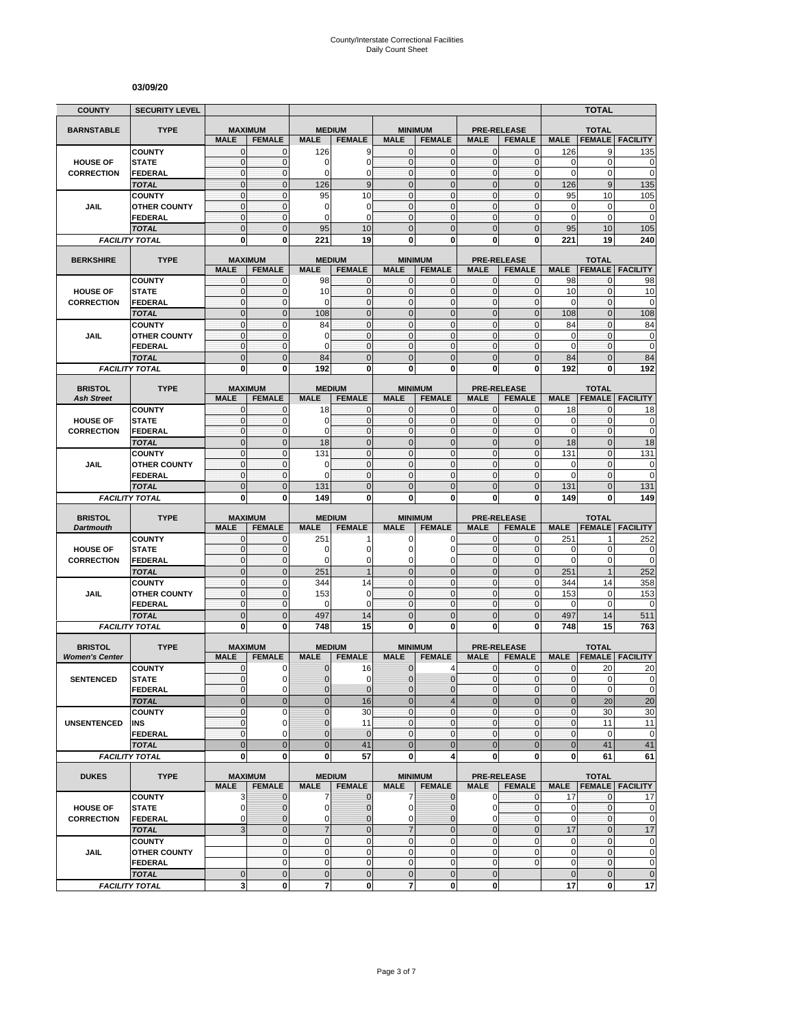#### **03/09/20**

| <b>COUNTY</b>                       | <b>SECURITY LEVEL</b>                 |                              |                                 |                     |                                |                                |                                 |                              |                                     |                             | <b>TOTAL</b>                  |                                                                                                                                                 |
|-------------------------------------|---------------------------------------|------------------------------|---------------------------------|---------------------|--------------------------------|--------------------------------|---------------------------------|------------------------------|-------------------------------------|-----------------------------|-------------------------------|-------------------------------------------------------------------------------------------------------------------------------------------------|
| <b>BARNSTABLE</b>                   | <b>TYPE</b>                           |                              | <b>MAXIMUM</b>                  |                     | <b>MEDIUM</b>                  |                                | <b>MINIMUM</b>                  |                              | <b>PRE-RELEASE</b>                  |                             | <b>TOTAL</b>                  |                                                                                                                                                 |
|                                     |                                       | <b>MALE</b>                  | <b>FEMALE</b>                   | <b>MALE</b>         | <b>FEMALE</b>                  | <b>MALE</b>                    | <b>FEMALE</b>                   | <b>MALE</b>                  | <b>FEMALE</b>                       | <b>MALE</b>                 | <b>FEMALE</b>                 | <b>FACILITY</b>                                                                                                                                 |
|                                     | <b>COUNTY</b>                         | $\mathbf{0}$                 | $\mathbf{0}$                    | 126                 | 9                              | $\mathbf{0}$                   | $\mathbf 0$                     | $\mathbf 0$                  | $\mathbf{0}$                        | 126                         | 9                             | 135                                                                                                                                             |
| <b>HOUSE OF</b>                     | <b>STATE</b>                          | $\mathbf 0$                  | $\mathbf{0}$                    | 0                   | $\mathbf 0$                    | $\mathbf{0}$                   | $\mathbf 0$                     | $\mathbf{0}$                 | $\mathbf 0$                         | 0                           | $\mathbf 0$                   | 0                                                                                                                                               |
| <b>CORRECTION</b>                   | <b>FEDERAL</b>                        | $\mathbf 0$                  | $\mathbf{0}$                    | $\Omega$            | $\overline{0}$<br>9            | $\mathbf{0}$<br>$\overline{0}$ | $\mathbf 0$<br>$\mathbf 0$      | $\mathbf{0}$                 | $\mathbf{0}$                        | 0                           | $\mathbf 0$                   | $\mathbf 0$                                                                                                                                     |
|                                     | <b>TOTAL</b><br><b>COUNTY</b>         | $\mathbf 0$<br>$\mathbf 0$   | $\mathbf 0$<br>$\mathbf{0}$     | 126<br>95           | 10                             | $\mathbf{0}$                   | $\mathbf{0}$                    | $\mathbf 0$<br>$\mathbf{0}$  | $\mathbf 0$<br>$\mathbf 0$          | 126<br>95                   | $9\,$<br>10                   | 135<br>105                                                                                                                                      |
| JAIL                                | <b>OTHER COUNTY</b>                   | $\mathbf{0}$                 | $\mathbf{0}$                    | 0                   | 0                              | $\mathbf{0}$                   | $\mathbf{0}$                    | $\mathbf{0}$                 | $\mathbf 0$                         | 0                           | $\mathbf 0$                   | 0                                                                                                                                               |
|                                     | <b>FEDERAL</b>                        | $\mathbf{0}$                 | $\mathbf 0$                     | 0                   | $\mathbf 0$                    | $\mathbf 0$                    | $\mathbf{0}$                    | $\mathbf 0$                  | $\mathbf 0$                         | 0                           | $\mathbf 0$                   | $\overline{0}$                                                                                                                                  |
|                                     | <b>TOTAL</b>                          | $\overline{0}$               | $\overline{0}$                  | 95                  | 10                             | $\Omega$                       | $\Omega$                        | $\mathbf{0}$                 | $\overline{0}$                      | 95                          | 10                            | 105                                                                                                                                             |
|                                     | <b>FACILITY TOTAL</b>                 | $\mathbf 0$                  | $\mathbf{0}$                    | 221                 | 19                             | 0                              | 0                               | $\bf{0}$                     | 0                                   | 221                         | 19                            | 240                                                                                                                                             |
| <b>BERKSHIRE</b>                    | <b>TYPE</b>                           |                              | <b>MAXIMUM</b>                  |                     | <b>MEDIUM</b>                  |                                | <b>MINIMUM</b>                  |                              | <b>PRE-RELEASE</b>                  |                             | <b>TOTAL</b>                  |                                                                                                                                                 |
|                                     |                                       | <b>MALE</b>                  | <b>FEMALE</b>                   | <b>MALE</b>         | <b>FEMALE</b>                  | <b>MALE</b>                    | <b>FEMALE</b>                   | <b>MALE</b>                  | <b>FEMALE</b>                       | <b>MALE</b>                 | <b>FEMALE</b>                 | <b>FACILITY</b>                                                                                                                                 |
|                                     | <b>COUNTY</b>                         | 0                            | 0                               | 98                  | 0                              | $\mathbf 0$                    | $\mathbf{0}$                    | $\mathbf 0$                  | 0                                   | 98                          | 0                             | 98                                                                                                                                              |
| <b>HOUSE OF</b>                     | <b>STATE</b>                          | $\mathbf{0}$                 | $\mathbf 0$                     | 10                  | $\mathbf 0$                    | $\mathbf{0}$                   | $\mathbf{0}$                    | $\mathbf 0$                  | $\mathbf 0$                         | 10                          | $\mathbf{0}$                  | 10                                                                                                                                              |
| <b>CORRECTION</b>                   | <b>FEDERAL</b>                        | $\mathbf{0}$                 | $\mathbf 0$                     | $\Omega$            | $\mathbf{0}$                   | $\mathbf{0}$                   | $\mathbf{0}$                    | $\pmb{0}$                    | $\mathbf 0$                         | 0                           | $\mathbf 0$                   | $\mathbf 0$                                                                                                                                     |
|                                     | <b>TOTAL</b>                          | $\overline{0}$               | $\mathbf{0}$                    | 108                 | $\overline{0}$                 | $\overline{0}$                 | $\overline{0}$                  | $\mathbf{0}$                 | $\overline{0}$                      | 108                         | $\mathbf{0}$                  | 108                                                                                                                                             |
| <b>JAIL</b>                         | <b>COUNTY</b><br><b>OTHER COUNTY</b>  | $\mathbf{0}$<br>$\mathbf{0}$ | $\mathbf{0}$<br>$\mathbf{0}$    | 84<br>$\mathbf 0$   | $\mathbf 0$<br>$\mathbf 0$     | $\mathbf{0}$<br>$\mathbf{0}$   | $\mathbf 0$<br>$\mathbf{0}$     | $\mathbf{0}$<br>$\mathbf{0}$ | $\mathbf 0$<br>$\mathbf 0$          | 84<br>0                     | $\mathbf{0}$<br>$\mathbf 0$   | 84<br>0                                                                                                                                         |
|                                     | <b>FEDERAL</b>                        | $\mathbf{0}$                 | $\mathbf{0}$                    | $\Omega$            | $\mathbf{0}$                   | $\mathbf{0}$                   | $\mathbf{0}$                    | $\mathbf{0}$                 | $\mathbf 0$                         | 0                           | $\mathbf 0$                   | 0                                                                                                                                               |
|                                     | <b>TOTAL</b>                          | $\mathbf 0$                  | $\mathbf 0$                     | 84                  | $\mathbf 0$                    | $\mathbf 0$                    | $\mathbf 0$                     | $\mathbf 0$                  | $\mathbf 0$                         | 84                          | $\mathbf 0$                   | 84                                                                                                                                              |
|                                     | <b>FACILITY TOTAL</b>                 | 0                            | $\bf{0}$                        | 192                 | $\mathbf{0}$                   | 0                              | $\mathbf 0$                     | $\mathbf 0$                  | 0                                   | 192                         | 0                             | 192                                                                                                                                             |
|                                     |                                       |                              |                                 |                     |                                |                                |                                 |                              |                                     |                             |                               |                                                                                                                                                 |
| <b>BRISTOL</b><br><b>Ash Street</b> | <b>TYPE</b>                           | <b>MALE</b>                  | <b>MAXIMUM</b><br><b>FEMALE</b> | <b>MALE</b>         | <b>MEDIUM</b><br><b>FEMALE</b> | <b>MALE</b>                    | <b>MINIMUM</b><br><b>FEMALE</b> | <b>MALE</b>                  | <b>PRE-RELEASE</b><br><b>FEMALE</b> | <b>MALE</b>                 | <b>TOTAL</b><br><b>FEMALE</b> | <b>FACILITY</b>                                                                                                                                 |
|                                     | <b>COUNTY</b>                         | $\mathbf{0}$                 | $\mathbf{0}$                    | 18                  | $\mathbf{0}$                   | $\mathbf{0}$                   | $\mathbf{0}$                    | 0                            | $\mathbf{0}$                        | 18                          | $\mathbf{0}$                  | 18                                                                                                                                              |
| <b>HOUSE OF</b>                     | <b>STATE</b>                          | $\mathbf{0}$                 | $\pmb{0}$                       | $\Omega$            | $\mathbf 0$                    | $\mathbf{0}$                   | $\mathbf{0}$                    | $\mathbf 0$                  | 0                                   | 0                           | $\pmb{0}$                     | $\pmb{0}$                                                                                                                                       |
| <b>CORRECTION</b>                   | <b>FEDERAL</b>                        | $\mathbf{0}$                 | $\mathbf{0}$                    | 0                   | $\mathbf 0$                    | $\mathbf{0}$                   | $\mathbf{0}$                    | $\mathbf 0$                  | $\mathbf 0$                         | $\mathbf 0$                 | $\mathbf 0$                   | 0                                                                                                                                               |
|                                     | <b>TOTAL</b>                          | $\mathbf 0$                  | $\mathbf 0$                     | 18                  | $\overline{0}$                 | $\mathbf{0}$                   | $\overline{0}$                  | $\mathbf 0$                  | $\overline{0}$                      | 18                          | $\mathbf 0$                   | 18                                                                                                                                              |
|                                     | <b>COUNTY</b>                         | $\mathbf 0$                  | $\mathbf{0}$                    | 131                 | $\mathbf{0}$                   | $\mathbf{0}$                   | $\mathbf 0$                     | $\mathbf{0}$                 | $\mathbf 0$                         | 131                         | $\mathbf{0}$                  | 131                                                                                                                                             |
| JAIL                                | <b>OTHER COUNTY</b><br><b>FEDERAL</b> | $\mathbf{0}$<br>$\mathbf{0}$ | $\mathbf{0}$<br>$\mathbf{0}$    | $\mathbf 0$<br>0    | $\mathbf 0$<br>$\mathbf 0$     | $\mathbf{0}$<br>$\mathbf{0}$   | $\mathbf 0$<br>$\mathbf{0}$     | $\mathbf{0}$<br>$\mathbf 0$  | $\overline{0}$<br>$\mathbf 0$       | 0<br>$\mathbf 0$            | $\mathbf{0}$<br>$\mathbf 0$   | 0<br>$\mathbf 0$                                                                                                                                |
|                                     | <b>TOTAL</b>                          | $\mathbf 0$                  | $\mathbf{0}$                    | 131                 | $\mathbf 0$                    | $\Omega$                       | $\overline{0}$                  | $\mathbf{0}$                 | $\overline{0}$                      | 131                         | $\mathbf{0}$                  | 131                                                                                                                                             |
|                                     | <b>FACILITY TOTAL</b>                 |                              |                                 |                     |                                |                                |                                 |                              |                                     |                             |                               |                                                                                                                                                 |
|                                     |                                       | 0                            | 0                               | 149                 | 0                              | 0                              | 0                               | 0                            | 0                                   | 149                         | 0                             | 149                                                                                                                                             |
|                                     |                                       |                              |                                 |                     |                                |                                |                                 |                              |                                     |                             |                               |                                                                                                                                                 |
| <b>BRISTOL</b>                      | <b>TYPE</b>                           |                              | <b>MAXIMUM</b>                  |                     | <b>MEDIUM</b>                  |                                | <b>MINIMUM</b>                  |                              | <b>PRE-RELEASE</b>                  |                             | <b>TOTAL</b>                  |                                                                                                                                                 |
| <b>Dartmouth</b>                    |                                       | <b>MALE</b>                  | <b>FEMALE</b>                   | <b>MALE</b>         | <b>FEMALE</b>                  | <b>MALE</b>                    | <b>FEMALE</b>                   | <b>MALE</b>                  | <b>FEMALE</b>                       | <b>MALE</b>                 | <b>FEMALE</b>                 | <b>FACILITY</b>                                                                                                                                 |
| <b>HOUSE OF</b>                     | <b>COUNTY</b><br><b>STATE</b>         | $\mathbf 0$<br>$\mathbf{0}$  | $\mathbf{0}$<br>$\mathbf{0}$    | 251<br>0            | 1<br>0                         | 0<br>0                         | O<br>0                          | $\mathbf{0}$<br>$\mathbf{0}$ | 0<br>$\mathbf 0$                    | 251<br>0                    | $\mathbf 0$                   | 252<br>0                                                                                                                                        |
| <b>CORRECTION</b>                   | <b>FEDERAL</b>                        | $\mathbf{0}$                 | $\mathbf 0$                     | $\mathbf 0$         | $\mathbf 0$                    | $\mathbf 0$                    | 0                               | $\mathbf 0$                  | $\mathbf 0$                         | 0                           | 0                             |                                                                                                                                                 |
|                                     | <b>TOTAL</b>                          | $\overline{0}$               | $\mathbf{0}$                    | 251                 | $\mathbf{1}$                   | $\mathbf{0}$                   | $\overline{0}$                  | $\mathbf{0}$                 | $\overline{0}$                      | 251                         | $\mathbf{1}$                  | 252                                                                                                                                             |
|                                     | <b>COUNTY</b>                         | $\mathbf{0}$                 | $\pmb{0}$                       | 344                 | 14                             | $\mathbf{0}$                   | $\mathbf{0}$                    | $\mathbf 0$                  | 0                                   | 344                         | 14                            | 358                                                                                                                                             |
| <b>JAIL</b>                         | <b>OTHER COUNTY</b>                   | $\mathbf 0$                  | $\mathbf{0}$                    | 153                 | $\Omega$                       | $\Omega$                       | $\mathbf 0$                     | $\mathbf{0}$                 | $\mathbf 0$                         | 153                         | $\mathbf 0$                   | 153                                                                                                                                             |
|                                     | <b>FEDERAL</b>                        | $\mathbf 0$                  | $\mathbf{0}$                    | $\mathbf 0$         | $\mathbf 0$                    | $\mathbf{0}$                   | $\mathbf{0}$                    | $\mathbf{0}$                 | $\mathbf 0$                         | 0                           | $\mathbf 0$                   | 0                                                                                                                                               |
|                                     | <b>TOTAL</b>                          | $\mathbf 0$                  | $\mathbf{0}$                    | 497                 | 14                             | $\mathbf{0}$                   | $\mathbf 0$                     | $\mathbf{0}$                 | $\overline{0}$                      | 497                         | 14                            | 511                                                                                                                                             |
|                                     | <b>FACILITY TOTAL</b>                 | 0                            | $\mathbf{0}$                    | 748                 | 15                             | 0                              | 0                               | 0                            | 0                                   | 748                         | 15                            | 763                                                                                                                                             |
| <b>BRISTOL</b>                      | <b>TYPE</b>                           |                              | <b>MAXIMUM</b>                  |                     | <b>MEDIUM</b>                  |                                | <b>MINIMUM</b>                  |                              | <b>PRE-RELEASE</b>                  |                             | <b>TOTAL</b>                  |                                                                                                                                                 |
| <b>Women's Center</b>               |                                       | <b>MALE</b>                  | <b>FEMALE</b>                   | <b>MALE</b>         | <b>FEMALE</b>                  | <b>MALE</b>                    | <b>FEMALE</b>                   | <b>MALE</b>                  | <b>FEMALE</b>                       | <b>MALE</b>                 | <b>FEMALE</b>                 | <b>FACILITY</b>                                                                                                                                 |
|                                     | <b>COUNTY</b>                         | $\mathbf{0}$                 | 0                               | $\mathbf{0}$        | 16                             | $\mathbf{0}$                   | 4                               | $\mathbf{0}$                 | $\mathbf 0$                         | $\mathbf{0}$                | 20                            | 20                                                                                                                                              |
| <b>SENTENCED</b>                    | <b>STATE</b><br><b>FEDERAL</b>        | $\Omega$<br>$\mathbf{0}$     | $\Omega$<br>$\mathbf 0$         | $\Omega$<br>0       | $\Omega$<br>$\mathbf{0}$       | $\Omega$<br>$\mathbf 0$        | $\Omega$<br>0                   | $\Omega$<br>$\mathbf 0$      | $\overline{0}$<br>0                 | $\overline{0}$<br>$\pmb{0}$ | $\Omega$<br>$\mathbf 0$       |                                                                                                                                                 |
|                                     | <b>TOTAL</b>                          | $\bf 0$                      | $\mathbf 0$                     | $\pmb{0}$           | 16                             | $\mathbf 0$                    | $\overline{4}$                  | $\mathbf 0$                  | $\mathbf 0$                         | $\bf 0$                     | 20                            |                                                                                                                                                 |
|                                     | <b>COUNTY</b>                         | 0                            | 0                               | 0                   | 30                             | $\mathbf{0}$                   | $\pmb{0}$                       | $\mathbf 0$                  | 0                                   | 0                           | 30                            |                                                                                                                                                 |
| <b>UNSENTENCED</b>                  | INS                                   | $\mathbf{0}$                 | 0                               | $\overline{0}$      | 11                             | $\mathbf{0}$                   | $\mathbf{0}$                    | $\mathbf 0$                  | 0                                   | 0                           | 11                            | 11                                                                                                                                              |
|                                     | <b>FEDERAL</b>                        | $\mathbf{0}$                 | $\mathbf 0$                     | $\mathbf 0$         | $\mathbf 0$                    | $\mathbf{0}$                   | $\mathbf{0}$                    | $\mathbf 0$                  | 0                                   | $\pmb{0}$                   | $\mathbf 0$                   |                                                                                                                                                 |
|                                     | <b>TOTAL</b>                          | $\mathbf 0$                  | $\mathbf{0}$                    | $\mathbf 0$         | 41                             | $\mathbf{0}$                   | $\mathbf{0}$                    | $\mathbf 0$                  | $\mathbf 0$                         | $\bf 0$                     | 41                            | 20<br>30<br>41                                                                                                                                  |
|                                     | <b>FACILITY TOTAL</b>                 | $\mathbf 0$                  | $\bf{0}$                        | 0                   | 57                             | 0                              | 4                               | $\mathbf{0}$                 | 0                                   | 0                           | 61                            | 61                                                                                                                                              |
| <b>DUKES</b>                        | <b>TYPE</b>                           |                              | <b>MAXIMUM</b>                  |                     | <b>MEDIUM</b>                  |                                | <b>MINIMUM</b>                  |                              | <b>PRE-RELEASE</b>                  |                             | <b>TOTAL</b>                  |                                                                                                                                                 |
|                                     |                                       | <b>MALE</b>                  | <b>FEMALE</b>                   | <b>MALE</b>         | <b>FEMALE</b>                  | <b>MALE</b>                    | <b>FEMALE</b>                   | <b>MALE</b>                  | <b>FEMALE</b>                       | <b>MALE</b>                 |                               | <b>FEMALE   FACILITY</b>                                                                                                                        |
|                                     | <b>COUNTY</b>                         | 3                            | $\mathbf 0$                     | 7                   | $\mathbf{0}$                   | 7                              | $\mathbf 0$                     | $\mathbf 0$                  | 0                                   | 17                          | $\mathbf 0$                   | 17                                                                                                                                              |
| <b>HOUSE OF</b>                     | <b>STATE</b>                          | 0                            | $\mathbf 0$                     | $\mathbf 0$         | 0                              | 0                              | 0                               | 0                            | 0                                   | 0                           | $\mathbf{0}$                  |                                                                                                                                                 |
| <b>CORRECTION</b>                   | <b>FEDERAL</b><br><b>TOTAL</b>        | 0<br>3                       | $\mathbf{0}$<br>$\mathbf{0}$    | 0<br>$\overline{7}$ | $\mathbf{0}$<br>$\mathbf 0$    | 0<br>$\overline{7}$            | 0<br>$\mathbf 0$                | 0<br>$\mathbf{0}$            | 0<br>$\overline{0}$                 | $\mathbf 0$<br>17           | $\mathbf{0}$<br>$\mathbf{0}$  |                                                                                                                                                 |
|                                     | <b>COUNTY</b>                         |                              | $\mathbf{0}$                    | $\mathbf{0}$        | $\mathbf 0$                    | $\mathbf{0}$                   | $\mathbf 0$                     | $\mathbf 0$                  | $\mathbf 0$                         | 0                           | $\mathbf{0}$                  |                                                                                                                                                 |
| JAIL                                | <b>OTHER COUNTY</b>                   |                              | $\mathbf{O}$                    | $\mathbf{0}$        | $\mathbf 0$                    | $\mathbf{0}$                   | $\mathbf{0}$                    | $\mathbf 0$                  | 0                                   | $\mathbf 0$                 | $\mathbf 0$                   |                                                                                                                                                 |
|                                     | <b>FEDERAL</b>                        |                              | $\mathbf 0$                     | $\mathbf 0$         | $\mathbf 0$                    | $\mathbf 0$                    | $\pmb{0}$                       | $\mathbf{0}$                 | 0                                   | $\mathbf 0$                 | $\mathbf 0$                   |                                                                                                                                                 |
|                                     | <b>TOTAL</b><br><b>FACILITY TOTAL</b> | $\mathbf 0$<br>3             | $\mathbf{0}$<br>0               | $\mathbf 0$<br>7    | $\mathbf 0$<br>0               | $\mathbf 0$<br>7               | $\mathbf 0$<br>0                | $\mathbf 0$<br>$\mathbf 0$   |                                     | $\mathbf 0$<br>17           | $\mathbf 0$<br>0              | 0<br>$\overline{0}$<br>$\pmb{0}$<br>$\pmb{0}$<br>$\pmb{0}$<br>$\mathbf 0$<br>17<br>$\mathbf 0$<br>$\mathbf 0$<br>$\mathbf 0$<br>$\pmb{0}$<br>17 |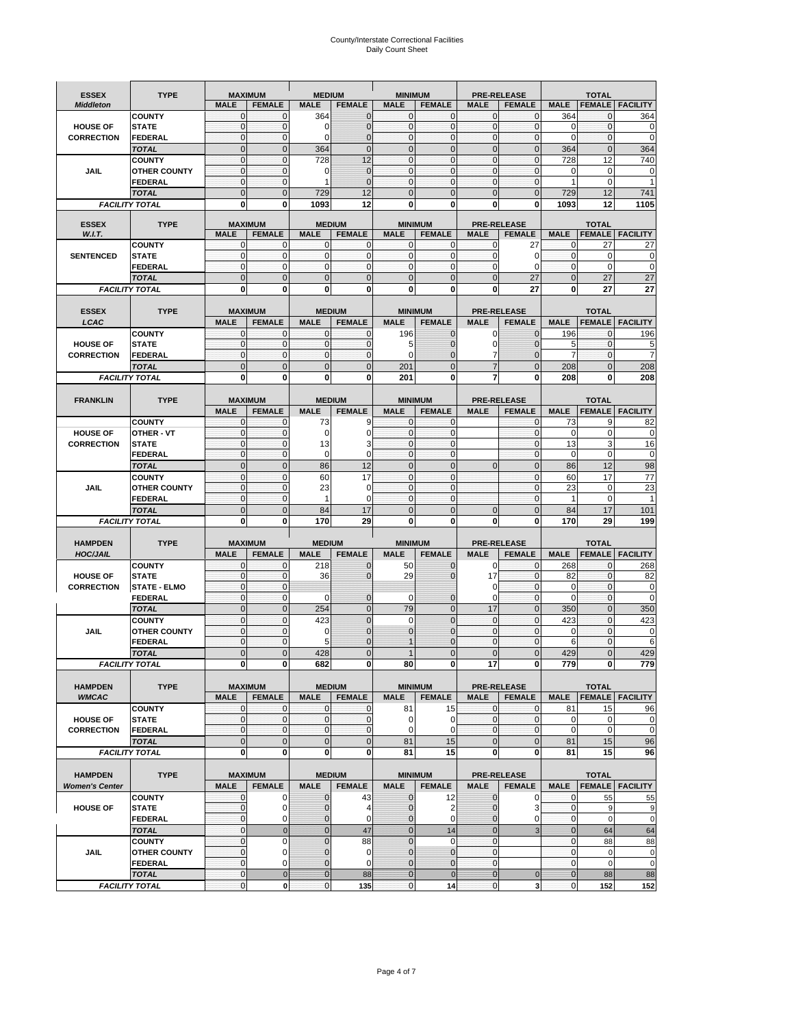# County/Interstate Correctional Facilities Daily Count Sheet

| <b>ESSEX</b>                         | <b>TYPE</b>                           |                                | <b>MAXIMUM</b>                | <b>MEDIUM</b>                  |                             | <b>MINIMUM</b>                 |                              |                               | <b>PRE-RELEASE</b>               |                             | <b>TOTAL</b>                 |                               |
|--------------------------------------|---------------------------------------|--------------------------------|-------------------------------|--------------------------------|-----------------------------|--------------------------------|------------------------------|-------------------------------|----------------------------------|-----------------------------|------------------------------|-------------------------------|
| <b>Middleton</b>                     |                                       | <b>MALE</b>                    | <b>FEMALE</b>                 | <b>MALE</b>                    | <b>FEMALE</b>               | <b>MALE</b>                    | <b>FEMALE</b>                | <b>MALE</b>                   | <b>FEMALE</b>                    | <b>MALE</b>                 |                              | <b>FEMALE FACILITY</b>        |
|                                      | <b>COUNTY</b>                         | $\mathbf 0$                    | 0                             | 364                            | $\mathbf 0$                 | $\mathbf 0$                    | $\mathbf{0}$                 | $\mathbf{0}$                  | $\mathbf{0}$                     | 364                         | 0                            | 364                           |
| <b>HOUSE OF</b>                      | <b>STATE</b>                          | $\mathbf{0}$                   | $\mathbf{0}$                  | $\mathbf 0$                    | $\mathbf{0}$                | $\mathbf 0$                    | $\mathbf{0}$                 | $\mathbf{0}$                  | $\mathbf{0}$                     | $\mathbf 0$                 | $\mathbf{0}$                 | 0                             |
| <b>CORRECTION</b>                    | <b>FEDERAL</b>                        | $\mathbf{0}$<br>$\mathbf{0}$   | $\mathbf{0}$<br>$\mathbf 0$   | 0<br>364                       | 0<br>$\mathbf{0}$           | $\mathbf{0}$<br>$\mathbf{0}$   | $\mathbf{0}$<br>$\mathbf{0}$ | $\mathbf 0$<br>$\mathbf 0$    | $\mathbf{0}$<br>$\mathbf{0}$     | $\Omega$<br>364             | $\mathbf{0}$<br>$\mathbf{0}$ | $\mathbf 0$<br>364            |
|                                      | <b>TOTAL</b><br><b>COUNTY</b>         | $\mathbf{0}$                   | $\mathbf{0}$                  | 728                            | 12                          | $\mathbf 0$                    | $\mathbf{0}$                 | $\mathbf 0$                   | $\mathbf{0}$                     | 728                         | 12                           | 740                           |
| <b>JAIL</b>                          | <b>OTHER COUNTY</b>                   | $\mathbf{0}$                   | $\mathbf{0}$                  | 0                              | $\mathbf{0}$                | $\mathbf{0}$                   | $\mathbf{0}$                 | $\mathbf 0$                   | $\mathbf{0}$                     | 0                           | $\Omega$                     | 0                             |
|                                      | <b>FEDERAL</b>                        | $\pmb{0}$                      | $\mathbf{0}$                  | 1                              | $\mathbf{0}$                | 0                              | $\mathbf{0}$                 | 0                             | $\mathbf{0}$                     | $\mathbf{1}$                | $\mathbf 0$                  | 1                             |
|                                      | <b>TOTAL</b>                          | $\mathbf{0}$                   | $\overline{0}$                | 729                            | 12                          | $\overline{0}$                 | $\Omega$                     | $\Omega$                      | $\Omega$                         | 729                         | 12                           | 741                           |
|                                      | <b>FACILITY TOTAL</b>                 | $\bf{0}$                       | 0                             | 1093                           | 12                          | 0                              | 0                            | 0                             | $\bf{0}$                         | 1093                        | 12                           | 1105                          |
| <b>ESSEX</b>                         | <b>TYPE</b>                           |                                | <b>MAXIMUM</b>                |                                | <b>MEDIUM</b>               |                                | <b>MINIMUM</b>               |                               | <b>PRE-RELEASE</b>               |                             | <b>TOTAL</b>                 |                               |
| W.I.T.                               |                                       | <b>MALE</b>                    | <b>FEMALE</b>                 | <b>MALE</b>                    | <b>FEMALE</b>               | <b>MALE</b>                    | <b>FEMALE</b>                | <b>MALE</b>                   | <b>FEMALE</b>                    | <b>MALE</b>                 | <b>FEMALE</b>                | <b>FACILITY</b>               |
|                                      | <b>COUNTY</b>                         | $\mathbf{0}$                   | $\mathbf 0$                   | $\mathbf 0$                    | 0                           | 0                              | $\mathbf{0}$                 | 0                             | 27                               | $\mathbf{0}$                | 27                           | 27                            |
| <b>SENTENCED</b>                     | <b>STATE</b>                          | $\mathbf{0}$                   | $\mathbf{0}$                  | $\mathbf 0$                    | $\mathbf{0}$                | $\mathbf{0}$                   | $\mathbf{0}$                 | $\mathbf 0$                   | 0                                | $\mathbf{0}$                | $\mathbf 0$                  | $\mathbf 0$                   |
|                                      | <b>FEDERAL</b><br><b>TOTAL</b>        | $\mathbf{0}$<br>$\overline{0}$ | $\mathbf 0$<br>$\overline{0}$ | $\mathbf 0$<br>$\Omega$        | $\mathbf{0}$<br>$\mathbf 0$ | $\Omega$<br>$\overline{0}$     | $\Omega$<br>$\mathbf{0}$     | $\mathbf 0$<br>$\overline{0}$ | $\Omega$<br>27                   | $\mathbf 0$<br>$\mathbf{0}$ | $\Omega$<br>27               | $\mathbf 0$<br>27             |
|                                      | <b>FACILITY TOTAL</b>                 | 0                              | 0                             | $\bf{0}$                       | $\mathbf{0}$                | 0                              | $\mathbf{0}$                 | 0                             | 27                               | 0                           | 27                           | 27                            |
|                                      |                                       |                                |                               |                                |                             |                                |                              |                               |                                  |                             |                              |                               |
| <b>ESSEX</b>                         | <b>TYPE</b>                           |                                | <b>MAXIMUM</b>                |                                | <b>MEDIUM</b>               |                                | <b>MINIMUM</b>               |                               | <b>PRE-RELEASE</b>               |                             | <b>TOTAL</b>                 |                               |
| LCAC                                 |                                       | <b>MALE</b>                    | <b>FEMALE</b>                 | <b>MALE</b>                    | <b>FEMALE</b>               | <b>MALE</b>                    | <b>FEMALE</b>                | <b>MALE</b>                   | <b>FEMALE</b>                    | <b>MALE</b>                 | <b>FEMALE</b>                | <b>FACILITY</b>               |
|                                      | <b>COUNTY</b>                         | $\mathbf{0}$                   | $\mathbf{0}$                  | $\mathbf{0}$                   | $\mathbf 0$                 | 196                            | $\mathbf{0}$                 | $\mathbf 0$                   | $\Omega$                         | 196                         | $\mathbf 0$                  | 196                           |
| <b>HOUSE OF</b>                      | <b>STATE</b>                          | $\mathbf{0}$<br>$\mathbf{0}$   | $\mathbf 0$<br>$\mathbf{0}$   | $\Omega$<br>$\mathbf 0$        | $\mathbf 0$<br>$\mathbf{0}$ | 5<br>$\mathbf 0$               | $\Omega$                     | 0<br>7                        | $\Omega$                         | 5<br>$\overline{7}$         | $\Omega$<br>$\mathbf{0}$     | 5<br>$\overline{7}$           |
| <b>CORRECTION</b>                    | <b>FEDERAL</b><br><b>TOTAL</b>        | $\mathbf{0}$                   | $\overline{0}$                | $\overline{0}$                 | $\mathbf{0}$                | 201                            | $\overline{0}$<br>$\Omega$   | $\overline{7}$                | $\overline{0}$<br>$\overline{0}$ | 208                         | $\mathbf{0}$                 | 208                           |
|                                      | <b>FACILITY TOTAL</b>                 | 0                              | 0                             | $\bf{0}$                       | 0                           | 201                            | 0                            | 7                             | 0                                | 208                         | 0                            | 208                           |
|                                      |                                       |                                |                               |                                |                             |                                |                              |                               |                                  |                             |                              |                               |
| <b>FRANKLIN</b>                      | <b>TYPE</b>                           |                                | <b>MAXIMUM</b>                |                                | <b>MEDIUM</b>               |                                | <b>MINIMUM</b>               |                               | <b>PRE-RELEASE</b>               |                             | <b>TOTAL</b>                 |                               |
|                                      |                                       | <b>MALE</b>                    | <b>FEMALE</b>                 | <b>MALE</b>                    | <b>FEMALE</b>               | <b>MALE</b>                    | <b>FEMALE</b>                | <b>MALE</b>                   | <b>FEMALE</b>                    | <b>MALE</b>                 | <b>FEMALE</b>                | <b>FACILITY</b>               |
|                                      | <b>COUNTY</b>                         | 0                              | $\mathbf{0}$                  | 73                             | 9                           | 0                              | $\mathbf{0}$                 |                               | $\mathbf{0}$                     | 73                          | 9                            | 82                            |
| <b>HOUSE OF</b><br><b>CORRECTION</b> | <b>OTHER - VT</b><br><b>STATE</b>     | $\mathbf{0}$<br>$\pmb{0}$      | $\mathbf 0$<br>$\mathbf{0}$   | $\mathbf 0$<br>13              | 0<br>3                      | $\mathbf 0$<br>$\mathbf 0$     | $\mathbf{0}$<br>$\mathbf{0}$ |                               | $\mathbf{0}$<br>$\mathbf{0}$     | $\mathbf 0$<br>13           | $\mathbf 0$<br>3             | 0<br>16                       |
|                                      | <b>FEDERAL</b>                        | $\mathbf{0}$                   | $\mathbf{0}$                  | 0                              | 0                           | $\mathbf{0}$                   | $\mathbf{0}$                 |                               | $\mathbf{0}$                     | $\mathbf 0$                 | $\mathbf 0$                  | $\mathbf 0$                   |
|                                      | <b>TOTAL</b>                          | $\mathbf{0}$                   | $\mathbf{0}$                  | 86                             | 12                          | $\overline{0}$                 | $\overline{0}$               | $\mathbf{0}$                  | $\overline{0}$                   | 86                          | 12                           | 98                            |
|                                      | <b>COUNTY</b>                         | $\pmb{0}$                      | $\mathbf{0}$                  | 60                             | 17                          | $\mathbf{0}$                   | $\mathbf{0}$                 |                               | $\mathbf{0}$                     | 60                          | 17                           | 77                            |
| <b>JAIL</b>                          | <b>OTHER COUNTY</b>                   | $\Omega$                       | $\mathbf 0$                   | 23                             | $\Omega$                    | $\Omega$                       | $\Omega$                     |                               | $\Omega$                         | 23                          | $\Omega$                     | 23                            |
|                                      | <b>FEDERAL</b>                        | $\mathbf{0}$                   | $\mathbf{0}$                  | 1                              | 0                           | $\mathbf{0}$                   | $\mathbf{0}$                 |                               | $\mathbf{0}$                     | $\mathbf{1}$                | $\mathbf 0$                  |                               |
|                                      | <b>TOTAL</b>                          | $\pmb{0}$                      | $\mathbf 0$<br>0              | 84                             | 17                          | $\mathbf 0$<br>0               | $\mathbf{0}$<br>0            | 0<br>0                        | $\overline{0}$<br>$\bf{0}$       | 84                          | 17<br>29                     | 101<br>199                    |
|                                      | <b>FACILITY TOTAL</b>                 | 0                              |                               | 170                            | 29                          |                                |                              |                               |                                  | 170                         |                              |                               |
| <b>HAMPDEN</b>                       | <b>TYPE</b>                           |                                | <b>MAXIMUM</b>                | <b>MEDIUM</b>                  |                             | <b>MINIMUM</b>                 |                              |                               | <b>PRE-RELEASE</b>               |                             | <b>TOTAL</b>                 |                               |
| <b>HOC/JAIL</b>                      |                                       | <b>MALE</b>                    | <b>FEMALE</b>                 | <b>MALE</b>                    | <b>FEMALE</b>               | <b>MALE</b>                    | <b>FEMALE</b>                | <b>MALE</b>                   | <b>FEMALE</b>                    | <b>MALE</b>                 | <b>FEMALE</b>                | <b>FACILITY</b>               |
|                                      | <b>COUNTY</b>                         | 0                              | 0                             | 218                            | $\mathbf{0}$                | 50                             | $\mathbf{0}$                 | 0                             | $\mathbf{0}$                     | 268                         | $\mathbf{0}$                 | 268                           |
| <b>HOUSE OF</b>                      | <b>STATE</b>                          | $\pmb{0}$                      | $\mathbf{0}$                  | 36                             | 0                           | 29                             | $\Omega$                     | 17                            | $\mathbf{0}$                     | 82                          | $\mathbf{0}$                 | 82                            |
| <b>CORRECTION</b>                    | <b>STATE - ELMO</b><br><b>FEDERAL</b> | $\mathbf{0}$<br>$\pmb{0}$      | $\mathbf{0}$<br>$\mathbf{0}$  | $\Omega$                       | 0                           | 0                              | $\mathbf{0}$                 | 0<br>0                        | $\mathbf{0}$<br>$\mathbf{0}$     | 0<br>$\Omega$               | $\mathbf{0}$<br>$\mathbf 0$  | 0<br>$\mathbf 0$              |
|                                      | <b>TOTAL</b>                          | $\mathbf{0}$                   | $\mathbf{0}$                  | 254                            | $\mathbf 0$                 | 79                             | $\mathbf 0$                  | 17                            | $\mathbf{0}$                     | 350                         | $\mathbf{0}$                 | 350                           |
|                                      | <b>COUNTY</b>                         | $\mathbf{0}$                   | $\mathbf 0$                   | 423                            | $\overline{0}$              | $\Omega$                       | $\Omega$                     | $\mathbf{0}$                  | $\Omega$                         | 423                         | $\Omega$                     | 423                           |
| JAIL                                 | <b>OTHER COUNTY</b>                   | $\mathbf{0}$                   | $\mathbf{0}$                  | 0                              | 0                           | $\overline{0}$                 | $\Omega$                     | $\mathbf 0$                   | $\mathbf{0}$                     | $\mathbf 0$                 | $\mathbf{0}$                 | 0                             |
|                                      | <b>FEDERAL</b>                        | $\mathbf{0}$                   | $\mathbf 0$                   | 5                              | $\Omega$                    |                                | $\Omega$                     | 0                             | $\Omega$                         | 6                           | $\Omega$                     | 6                             |
|                                      | <b>TOTAL</b>                          | $\overline{0}$                 | $\Omega$                      | 428                            | $\Omega$                    |                                | $\Omega$                     | $\overline{0}$                | $\Omega$                         | 429                         |                              | 429                           |
|                                      | <b>FACILITY TOTAL</b>                 | $\mathbf{0}$                   | $\boldsymbol{0}$              | 682                            | 0                           | 80                             | 0                            | 17                            | $\mathbf{0}$                     | 779                         | 0                            | 779                           |
| <b>HAMPDEN</b>                       | <b>TYPE</b>                           |                                | <b>MAXIMUM</b>                |                                | <b>MEDIUM</b>               |                                | <b>MINIMUM</b>               |                               | PRE-RELEASE                      |                             | <b>TOTAL</b>                 |                               |
| <b>WMCAC</b>                         |                                       | <b>MALE</b>                    | <b>FEMALE</b>                 | <b>MALE</b>                    | <b>FEMALE</b>               | <b>MALE</b>                    | <b>FEMALE</b>                | <b>MALE</b>                   | <b>FEMALE</b>                    | <b>MALE</b>                 |                              | <b>FEMALE FACILITY</b>        |
|                                      | <b>COUNTY</b>                         | $\mathbf 0$                    | $\mathbf{0}$                  | $\mathbf{0}$                   | 0                           | 81                             | 15                           | $\mathbf{0}$                  | $\mathbf 0$                      | 81                          | 15                           | 96                            |
| <b>HOUSE OF</b>                      | <b>STATE</b>                          | $\mathbf 0$                    | $\mathbf 0$                   | $\mathbf 0$                    | $\pmb{0}$                   | 0                              | 0                            | $\mathbf{0}$                  | $\mathbf 0$                      | $\mathbf 0$                 | $\mathbf 0$                  | 0                             |
| <b>CORRECTION</b>                    | <b>FEDERAL</b>                        | $\mathbf{0}$                   | $\mathbf 0$                   | $\overline{O}$                 | $\mathbf{0}$                | $\mathbf 0$                    | $\mathbf 0$                  | $\mathbf{0}$                  | $\mathbf 0$                      | $\mathbf 0$                 | $\mathbf 0$                  | $\pmb{0}$                     |
|                                      | <b>TOTAL</b><br><b>FACILITY TOTAL</b> | $\mathbf 0$<br>$\mathbf 0$     | $\mathbf 0$<br>0              | $\overline{0}$<br>$\mathbf{0}$ | $\mathbf 0$<br>0            | 81<br>81                       | 15<br>15                     | $\mathbf 0$<br>0              | $\mathbf 0$<br>0                 | 81<br>81                    | 15<br>15                     | 96<br>96                      |
|                                      |                                       |                                |                               |                                |                             |                                |                              |                               |                                  |                             |                              |                               |
| <b>HAMPDEN</b>                       | <b>TYPE</b>                           |                                | <b>MAXIMUM</b>                |                                | <b>MEDIUM</b>               |                                | <b>MINIMUM</b>               |                               | <b>PRE-RELEASE</b>               |                             | <b>TOTAL</b>                 |                               |
| <b>Women's Center</b>                |                                       | <b>MALE</b>                    | <b>FEMALE</b>                 | <b>MALE</b>                    | <b>FEMALE</b>               | <b>MALE</b>                    | <b>FEMALE</b>                | <b>MALE</b>                   | <b>FEMALE</b>                    | <b>MALE</b>                 |                              | <b>FEMALE FACILITY</b>        |
|                                      | <b>COUNTY</b>                         | 0                              | 0                             | 0                              | 43                          | 0                              | 12                           | 0                             | 0                                | 0                           | 55                           | 55                            |
| <b>HOUSE OF</b>                      | <b>STATE</b>                          | $\mathbf{0}$<br>$\mathbf 0$    | $\mathbf 0$                   | $\overline{0}$                 | 4<br>0                      | $\mathbf 0$                    | $\overline{2}$<br>0          | $\overline{0}$                | 3                                | $\mathbf{0}$<br>$\mathbf 0$ | 9<br>$\mathbf 0$             | $\overline{9}$<br>$\mathbf 0$ |
|                                      | <b>FEDERAL</b><br><b>TOTAL</b>        | $\mathbf{0}$                   | 0<br>$\mathbf{0}$             | $\mathbf 0$<br>$\overline{0}$  | 47                          | $\mathbf{0}$<br>$\overline{0}$ | 14                           | 0<br>$\mathbf{0}$             | 0<br>3                           | $\overline{0}$              | 64                           | 64                            |
|                                      | <b>COUNTY</b>                         | $\mathbf{0}$                   | $\mathbf 0$                   | $\overline{0}$                 | 88                          | $\overline{0}$                 | $\Omega$                     | $\mathbf 0$                   |                                  | $\mathbf{O}$                | 88                           | 88                            |
| JAIL                                 | <b>OTHER COUNTY</b>                   | $\pmb{0}$                      | $\mathbf 0$                   | $\overline{0}$                 | 0                           | $\mathbf 0$                    | $\mathbf{0}$                 | $\mathbf 0$                   |                                  | $\mathbf{0}$                | $\mathbf 0$                  | 0                             |
|                                      | <b>FEDERAL</b>                        | $\pmb{0}$                      | 0                             | $\mathbf 0$                    | 0                           | $\mathbf{0}$                   | $\mathbf{0}$                 | 0                             |                                  | $\mathbf 0$                 | $\mathbf 0$                  | $\pmb{0}$                     |
|                                      | <b>TOTAL</b>                          | $\pmb{0}$                      | $\bf{0}$                      | $\overline{0}$                 | 88                          | $\bf 0$                        | $\mathbf{0}$                 | $\bf{0}$                      | $\mathbf 0$                      | $\mathbf{0}$                | 88                           | 88                            |
|                                      | <b>FACILITY TOTAL</b>                 | $\mathbf 0$                    | $\mathbf 0$                   | $\overline{0}$                 | 135                         | $\mathbf 0$                    | 14                           | $\mathbf{0}$                  | $\overline{\mathbf{3}}$          | $\mathbf 0$                 | 152                          | 152                           |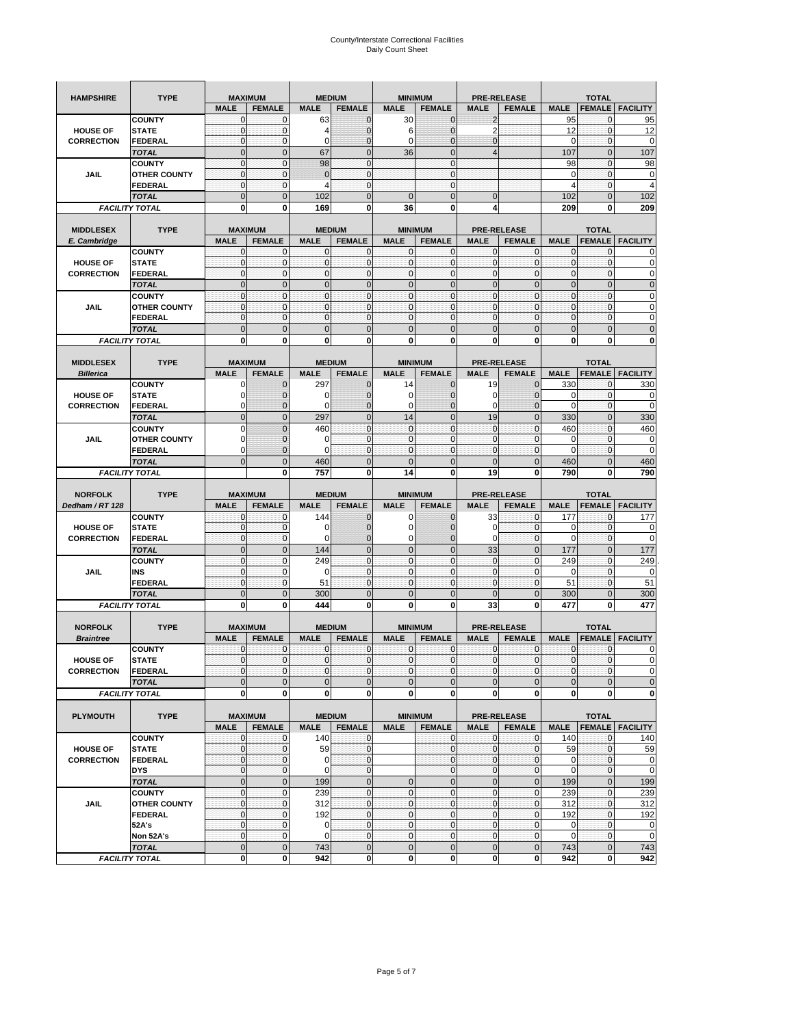| <b>HAMPSHIRE</b>  | <b>TYPE</b>                           | <b>MAXIMUM</b>              |                               |                         | <b>MEDIUM</b>                |                            | <b>MINIMUM</b>                 |                          | <b>PRE-RELEASE</b>           |                    | <b>TOTAL</b>                |                          |
|-------------------|---------------------------------------|-----------------------------|-------------------------------|-------------------------|------------------------------|----------------------------|--------------------------------|--------------------------|------------------------------|--------------------|-----------------------------|--------------------------|
|                   |                                       | <b>MALE</b>                 | <b>FEMALE</b>                 | <b>MALE</b>             | <b>FEMALE</b>                | <b>MALE</b>                | <b>FEMALE</b>                  | <b>MALE</b>              | <b>FEMALE</b>                | <b>MALE</b>        | <b>FEMALE</b>               | <b>FACILITY</b>          |
|                   | <b>COUNTY</b>                         | 0                           | 0                             | 63                      | $\mathbf 0$                  | 30                         | $\mathbf{0}$                   | $\overline{c}$           |                              | 95                 | $\mathbf{0}$                | 95                       |
| <b>HOUSE OF</b>   | <b>STATE</b>                          | $\pmb{0}$                   | $\mathbf 0$                   | 4                       | $\mathbf{0}$                 | 6                          | $\overline{0}$                 | $\overline{2}$           |                              | 12                 | $\mathbf 0$                 | 12                       |
| <b>CORRECTION</b> | <b>FEDERAL</b>                        | $\mathbf 0$                 | $\pmb{0}$                     | 0                       | $\mathbf{0}$                 | 0                          | $\mathbf{0}$                   | 0                        |                              | $\mathbf 0$        | $\mathbf 0$                 | 0                        |
|                   | <b>TOTAL</b>                          | $\mathbf{0}$                | $\overline{0}$                | 67                      | $\mathbf{0}$                 | 36                         | $\mathbf{0}$                   | 4                        |                              | 107                | $\mathbf{0}$                | 107                      |
|                   | <b>COUNTY</b>                         | $\mathbf{0}$                | $\mathbf 0$                   | 98                      | $\mathbf{0}$                 |                            | $\mathbf{0}$                   |                          |                              | 98                 | $\bf{0}$                    | 98                       |
| <b>JAIL</b>       | <b>OTHER COUNTY</b>                   | $\mathbf{0}$                | 0                             | $\Omega$                | $\mathbf{0}$                 |                            | $\mathbf{0}$                   |                          |                              | 0                  | 0                           | 0                        |
|                   | <b>FEDERAL</b>                        | $\mathbf{0}$                | $\mathbf 0$                   | 4                       | $\mathbf{0}$                 |                            | $\mathbf{0}$                   |                          |                              | $\overline{4}$     | $\mathbf{0}$                | $\overline{4}$           |
|                   | <b>TOTAL</b>                          | $\mathbf{0}$                | $\mathbf 0$                   | 102                     | $\mathbf 0$                  | $\mathbf 0$                | $\mathbf{0}$                   | $\mathbf 0$              |                              | 102                | $\mathbf 0$                 | 102                      |
|                   | <b>FACILITY TOTAL</b>                 | 0                           | 0                             | 169                     | 0                            | 36                         | 0                              | 4                        |                              | 209                | 0                           | 209                      |
|                   |                                       |                             |                               |                         |                              |                            |                                |                          |                              |                    |                             |                          |
| <b>MIDDLESEX</b>  | <b>TYPE</b>                           | <b>MAXIMUM</b>              |                               |                         | <b>MEDIUM</b>                |                            | <b>MINIMUM</b>                 |                          | <b>PRE-RELEASE</b>           |                    | <b>TOTAL</b>                |                          |
| E. Cambridge      | <b>COUNTY</b>                         | <b>MALE</b><br>$\mathbf{0}$ | <b>FEMALE</b><br>0            | <b>MALE</b><br>$\Omega$ | <b>FEMALE</b><br>$\mathbf 0$ | <b>MALE</b><br>0           | <b>FEMALE</b><br>$\mathbf{0}$  | <b>MALE</b><br>0         | <b>FEMALE</b><br>0           | <b>MALE</b><br>0   | <b>FEMALE</b>               | <b>FACILITY</b>          |
| <b>HOUSE OF</b>   | <b>STATE</b>                          | $\pmb{0}$                   | $\mathbf{0}$                  | $\mathbf 0$             | $\mathbf 0$                  | $\mathbf 0$                | $\mathbf{0}$                   | 0                        | $\mathbf 0$                  | $\pmb{0}$          | 0<br>$\mathbf 0$            | 0<br>0                   |
| <b>CORRECTION</b> | <b>FEDERAL</b>                        | $\mathbf{0}$                | $\mathbf 0$                   | $\mathbf 0$             | $\mathbf 0$                  | $\mathbf{0}$               | $\mathbf{0}$                   | $\mathbf 0$              | $\mathbf 0$                  | $\mathbf{0}$       | $\mathbf 0$                 | $\mathbf 0$              |
|                   | <b>TOTAL</b>                          | $\mathbf{0}$                | $\mathbf 0$                   | $\overline{0}$          | $\mathbf{0}$                 | $\mathbf 0$                | $\mathbf{0}$                   | $\mathbf{0}$             | $\mathbf 0$                  | $\mathbf 0$        | $\mathbf{0}$                | $\mathbf 0$              |
|                   | <b>COUNTY</b>                         | $\mathbf{0}$                | $\mathbf{0}$                  | $\mathbf 0$             | $\mathbf{0}$                 | $\mathbf{0}$               | $\mathbf{0}$                   | $\mathbf 0$              | $\mathbf 0$                  | $\mathbf{0}$       | $\mathbf{0}$                | $\mathbf 0$              |
| <b>JAIL</b>       | <b>OTHER COUNTY</b>                   | $\mathbf 0$                 | $\mathbf{0}$                  | $\mathbf 0$             | 0                            | $\mathbf{0}$               | $\mathbf{0}$                   | $\mathbf{0}$             | 0                            | $\pmb{0}$          | 0                           | 0                        |
|                   | <b>FEDERAL</b>                        | $\mathbf{0}$                | $\mathbf 0$                   | $\mathbf 0$             | $\mathbf{0}$                 | $\mathbf{0}$               | $\mathbf{0}$                   | $\mathbf{0}$             | $\mathbf 0$                  | $\mathbf{0}$       | $\mathbf{0}$                | 0                        |
|                   | <b>TOTAL</b>                          | $\overline{0}$              | $\overline{0}$                | $\overline{0}$          | $\mathbf{0}$                 | $\overline{0}$             | $\mathbf{0}$                   | $\overline{0}$           | $\overline{0}$               | $\pmb{0}$          | $\overline{0}$              | $\overline{0}$           |
|                   | <b>FACILITY TOTAL</b>                 | 0                           | 0                             | $\bf{0}$                | 0                            | 0                          | 0                              | 0                        | 0                            | 0                  | 0                           | 0                        |
|                   |                                       |                             |                               |                         |                              |                            |                                |                          |                              |                    |                             |                          |
| <b>MIDDLESEX</b>  | <b>TYPE</b>                           | <b>MAXIMUM</b>              |                               |                         | <b>MEDIUM</b>                |                            | <b>MINIMUM</b>                 |                          | <b>PRE-RELEASE</b>           |                    | <b>TOTAL</b>                |                          |
| <b>Billerica</b>  |                                       | <b>MALE</b>                 | <b>FEMALE</b>                 | <b>MALE</b>             | <b>FEMALE</b>                | <b>MALE</b>                | <b>FEMALE</b>                  | <b>MALE</b>              | <b>FEMALE</b>                | <b>MALE</b>        | <b>FEMALE</b>               | <b>FACILITY</b>          |
|                   | <b>COUNTY</b>                         | 0                           | 0                             | 297                     | 0                            | 14                         | 0                              | 19                       | $\mathbf{0}$                 | 330                | 0                           | 330                      |
| <b>HOUSE OF</b>   | <b>STATE</b>                          | O                           | $\overline{0}$                | O                       | $\mathbf 0$                  | 0                          | $\mathbf{0}$                   | 0                        | $\overline{0}$               | 0                  | $\mathbf{0}$                | 0                        |
| <b>CORRECTION</b> | <b>FEDERAL</b>                        | $\Omega$                    | 0                             | $\epsilon$              | $\mathbf{0}$                 | 0                          | $\mathbf{0}$                   | 0                        | $\mathbf 0$                  | 0                  | $\mathbf 0$                 | $\mathbf 0$              |
|                   | <b>TOTAL</b>                          | $\mathbf{0}$                | $\mathbf 0$                   | 297                     | $\pmb{0}$                    | 14                         | $\mathbf{0}$                   | 19                       | $\mathbf 0$                  | 330                | $\mathbf{0}$                | 330                      |
|                   | <b>COUNTY</b>                         | $\Omega$                    | $\mathbf 0$                   | 460                     | $\mathbf{0}$                 | $\mathbf 0$                | $\mathbf{0}$                   | $\mathbf{0}$             | $\mathbf{0}$                 | 460                | $\mathbf{0}$                | 460                      |
| JAIL              | <b>OTHER COUNTY</b>                   | 0                           | $\mathbf{0}$                  | O                       | $\mathbf 0$                  | $\mathbf 0$                | $\mathbf{0}$                   | $\mathbf{0}$             | 0                            | 0                  | 0                           | 0                        |
|                   | <b>FEDERAL</b>                        | 0                           | 0                             | $\sqrt{ }$              | $\mathbf{0}$                 | $\mathbf 0$                | 0                              | $\mathbf{0}$             | $\mathbf 0$                  | $\Omega$           | $\mathbf 0$                 | 0                        |
|                   | <b>TOTAL</b>                          | $\Omega$                    | $\overline{0}$                | 460<br>757              | $\mathbf 0$<br>0             | $\overline{0}$<br>14       | $\overline{0}$<br>0            | $\overline{0}$<br>19     | $\overline{0}$<br>0          | 460                | $\overline{0}$<br>0         | 460                      |
|                   | <b>FACILITY TOTAL</b>                 |                             | 0                             |                         |                              |                            |                                |                          |                              | 790                |                             |                          |
|                   |                                       |                             |                               |                         |                              |                            |                                |                          |                              |                    |                             | 790                      |
|                   |                                       |                             |                               |                         |                              |                            |                                |                          |                              |                    |                             |                          |
| <b>NORFOLK</b>    | <b>TYPE</b>                           | <b>MAXIMUM</b>              |                               |                         | <b>MEDIUM</b>                |                            | <b>MINIMUM</b>                 |                          | <b>PRE-RELEASE</b>           |                    | <b>TOTAL</b>                |                          |
| Dedham / RT 128   | <b>COUNTY</b>                         | <b>MALE</b><br>0            | <b>FEMALE</b><br>$\mathbf{0}$ | <b>MALE</b><br>144      | <b>FEMALE</b><br>0           | <b>MALE</b><br>0           | <b>FEMALE</b><br>0             | <b>MALE</b><br>33        | <b>FEMALE</b><br>$\mathbf 0$ | <b>MALE</b><br>177 | <b>FEMALE</b><br>0          | <b>FACILITY</b>          |
| <b>HOUSE OF</b>   | <b>STATE</b>                          | $\mathbf{0}$                | $\mathbf 0$                   | $\epsilon$              | $\mathbf{0}$                 | $\mathbf 0$                | $\mathbf{0}$                   | 0                        | $\mathbf{0}$                 | 0                  | $\mathbf{0}$                | 177<br>0                 |
| <b>CORRECTION</b> | <b>FEDERAL</b>                        | $\mathbf{0}$                | $\mathbf 0$                   | C                       | $\mathbf 0$                  | $\mathbf 0$                | $\overline{0}$                 | $\mathbf 0$              | $\mathbf 0$                  | $\mathbf 0$        | $\mathbf{0}$                | $\mathbf 0$              |
|                   | <b>TOTAL</b>                          | $\mathbf{0}$                | $\bf 0$                       | 144                     | $\pmb{0}$                    | $\mathbf 0$                | $\mathbf 0$                    | 33                       | $\mathbf 0$                  | 177                | $\mathbf 0$                 | 177                      |
|                   | <b>COUNTY</b>                         | $\mathbf{0}$                | 0                             | 249                     | $\mathbf{0}$                 | $\mathbf 0$                | $\mathbf{0}$                   | $\mathbf{0}$             | $\mathbf{0}$                 | 249                | $\mathbf 0$                 | 249                      |
| JAIL              | INS                                   | $\mathbf{0}$                | $\mathbf{0}$                  | O                       | $\mathbf{0}$                 | $\mathbf 0$                | $\mathbf{0}$                   | $\mathbf{0}$             | $\mathbf 0$                  | 0                  | 0                           | 0                        |
|                   | <b>FEDERAL</b>                        | $\mathbf{0}$                | $\mathbf{0}$                  | 51                      | $\mathbf 0$                  | $\mathbf 0$                | $\mathbf{0}$                   | $\mathbf{0}$             | $\mathbf 0$                  | 51                 | $\mathbf 0$                 | 51                       |
|                   | <b>TOTAL</b>                          | $\mathbf{0}$                | $\mathbf 0$                   | 300                     | $\mathbf 0$                  | $\overline{0}$             | $\overline{0}$                 | $\overline{0}$           | $\overline{0}$               | 300                | $\overline{0}$              | 300                      |
|                   | <b>FACILITY TOTAL</b>                 | 0                           | 0                             | 444                     | 0                            | 0                          | $\bf{0}$                       | 33                       | 0                            | 477                | 0                           | 477                      |
|                   |                                       |                             |                               |                         |                              |                            |                                |                          |                              |                    |                             |                          |
| <b>NORFOLK</b>    | <b>TYPE</b>                           | <b>MAXIMUM</b>              |                               |                         | <b>MEDIUM</b>                |                            | <b>MINIMUM</b>                 |                          | PRE-RELEASE                  |                    | <b>TOTAL</b>                |                          |
| <b>Braintree</b>  |                                       | <b>MALE</b>                 | <b>FEMALE</b>                 | <b>MALE</b>             | <b>FEMALE</b>                | <b>MALE</b>                | <b>FEMALE</b>                  | <b>MALE</b>              | <b>FEMALE</b>                | <b>MALE</b>        | <b>FEMALE</b>               | <b>FACILITY</b>          |
|                   | <b>COUNTY</b>                         | $\mathbf 0$                 | $\mathbf{0}$                  | $\mathbf 0$             | $\mathbf 0$                  | $\mathbf 0$                | $\mathbf{0}$                   | 0                        | $\mathbf 0$                  | $\mathbf 0$        | 0                           | 0                        |
| <b>HOUSE OF</b>   | <b>STATE</b>                          | $\Omega$                    | $\Omega$                      | $\Omega$                | $\overline{0}$               | $\mathbf{0}$               | $\Omega$                       | $\mathbf{0}$             | $\Omega$                     | $\Omega$           | $\Omega$                    | $\Omega$                 |
| <b>CORRECTION</b> | <b>FEDERAL</b>                        | $\mathbf 0$                 | $\mathbf 0$                   | $\mathbf 0$             | $\mathbf 0$                  | $\mathbf 0$                | $\overline{0}$                 | $\pmb{0}$                | $\mathbf 0$                  | $\overline{0}$     | $\mathbf 0$                 | $\mathbf 0$              |
|                   | <b>TOTAL</b>                          | $\mathbf 0$                 | $\mathbf 0$                   | $\overline{0}$          | $\pmb{0}$                    | $\overline{0}$             | $\mathbf 0$                    | $\mathbf 0$              | $\mathbf 0$                  | $\mathbf 0$        | $\mathbf 0$                 | $\mathbf 0$              |
|                   | <b>FACILITY TOTAL</b>                 | $\mathbf 0$                 | $\bf{0}$                      | 0                       | $\mathbf 0$                  | $\mathbf{0}$               | <sup>0</sup>                   | 0                        | 0                            | $\mathbf{0}$       | $\mathbf 0$                 | $\mathbf{0}$             |
|                   |                                       |                             |                               |                         |                              |                            |                                |                          |                              |                    |                             |                          |
| <b>PLYMOUTH</b>   | <b>TYPE</b>                           |                             | <b>MAXIMUM</b>                |                         | <b>MEDIUM</b>                |                            | <b>MINIMUM</b>                 |                          | <b>PRE-RELEASE</b>           |                    | <b>TOTAL</b>                |                          |
|                   |                                       | <b>MALE</b>                 | <b>FEMALE</b>                 | <b>MALE</b>             | <b>FEMALE</b>                | <b>MALE</b>                | <b>FEMALE</b>                  | <b>MALE</b>              | <b>FEMALE</b>                | <b>MALE</b>        |                             | <b>FEMALE</b>   FACILITY |
| <b>HOUSE OF</b>   | <b>COUNTY</b><br><b>STATE</b>         | $\mathbf 0$<br>$\mathbf{0}$ | $\mathbf 0$<br>$\mathbf 0$    | 140<br>59               | 0<br>$\mathbf 0$             |                            | $\mathbf{0}$<br>$\overline{0}$ | $\mathbf 0$<br>$\pmb{0}$ | $\mathbf 0$<br>0             | 140<br>59          | $\mathbf 0$<br>$\mathbf 0$  | 140                      |
| <b>CORRECTION</b> | <b>FEDERAL</b>                        | $\mathbf 0$                 | $\pmb{0}$                     | 0                       | $\mathbf 0$                  |                            | $\overline{0}$                 | $\pmb{0}$                | $\mathbf 0$                  | $\mathbf 0$        | $\mathbf 0$                 | 59<br>$\mathbf 0$        |
|                   | <b>DYS</b>                            | $\mathbf{0}$                | $\mathbf 0$                   | $\mathbf 0$             | $\mathbf{0}$                 |                            | $\overline{0}$                 | $\mathbf 0$              | $\mathbf{0}$                 | $\mathbf 0$        | $\Omega$                    | $\mathbf 0$              |
|                   | <b>TOTAL</b>                          | $\mathbf 0$                 | $\mathbf 0$                   | 199                     | $\mathbf 0$                  | $\mathbf 0$                | $\mathbf 0$                    | $\mathbf 0$              | $\mathbf 0$                  | 199                | $\mathbf 0$                 | 199                      |
|                   | <b>COUNTY</b>                         | $\mathbf 0$                 | $\mathbf 0$                   | 239                     | $\mathbf{0}$                 | $\mathbf{0}$               | $\mathbf{0}$                   | $\mathbf{0}$             | $\mathbf 0$                  | 239                | $\mathbf 0$                 | 239                      |
| <b>JAIL</b>       | <b>OTHER COUNTY</b>                   | $\mathbf{0}$                | $\mathbf 0$                   | 312                     | $\mathbf 0$                  | $\mathbf{0}$               | $\mathbf{0}$                   | $\mathbf 0$              | $\mathbf 0$                  | 312                | $\mathbf 0$                 | 312                      |
|                   | <b>FEDERAL</b>                        | $\mathbf 0$                 | $\mathbf 0$                   | 192                     | $\mathbf 0$                  | $\mathbf 0$                | $\overline{0}$                 | $\mathbf 0$              | 0                            | 192                | $\mathbf 0$                 | 192                      |
|                   | 52A's                                 | $\mathbf 0$                 | $\mathbf 0$                   | $\mathbf 0$             | $\mathbf 0$                  | $\mathbf 0$                | $\overline{0}$                 | $\mathbf 0$              | $\mathbf 0$                  | $\mathbf 0$        | $\mathbf 0$                 | $\mathbf 0$              |
|                   | Non 52A's                             | $\mathbf 0$                 | $\mathbf 0$                   | $\mathbf 0$             | $\mathbf 0$                  | $\mathbf 0$                | $\overline{0}$                 | $\mathbf 0$              | $\mathbf 0$                  | $\mathbf 0$        | $\overline{0}$              | $\mathbf 0$              |
|                   | <b>TOTAL</b><br><b>FACILITY TOTAL</b> | $\mathbf 0$<br>$\mathbf 0$  | $\mathbf 0$<br>0              | 743<br>942              | $\mathbf 0$<br>$\mathbf{0}$  | $\mathbf 0$<br>$\mathbf 0$ | $\mathbf{0}$<br>$\mathbf{0}$   | $\mathbf 0$<br>0         | $\mathbf 0$<br>$\mathbf{0}$  | 743<br>942         | $\mathbf 0$<br>$\mathbf{0}$ | 743<br>942               |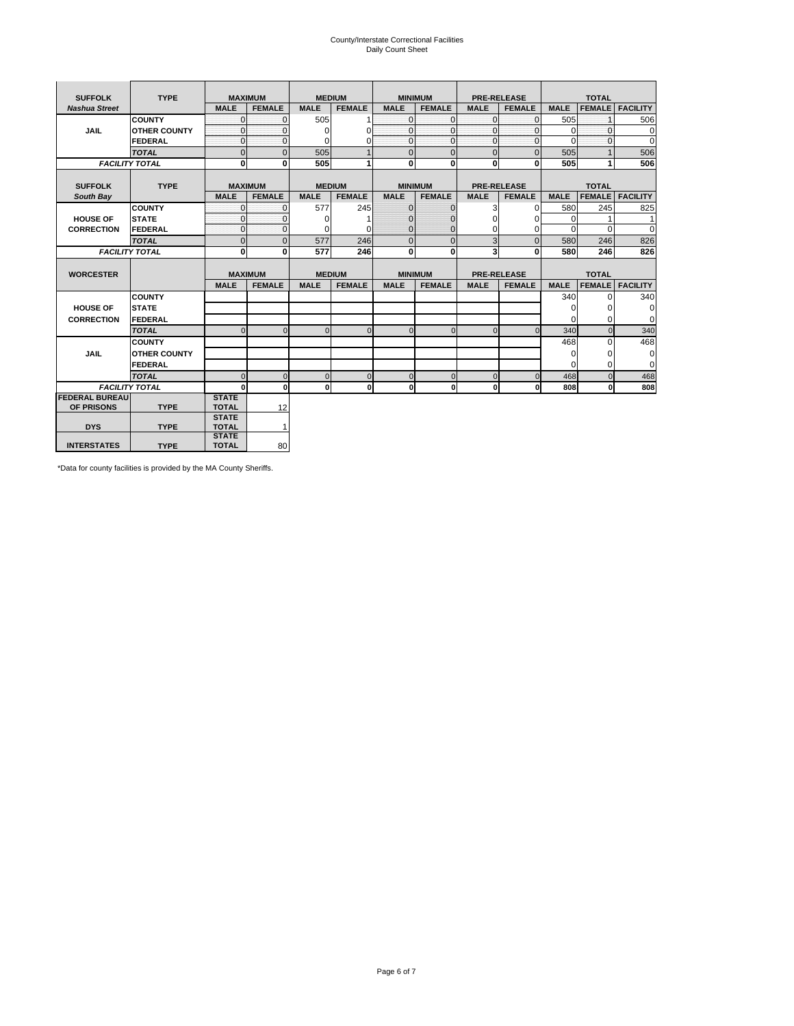# County/Interstate Correctional Facilities Daily Count Sheet

| <b>SUFFOLK</b>        | <b>TYPE</b>           |                              | <b>MAXIMUM</b> |             | <b>MEDIUM</b> | <b>MINIMUM</b> |               |                | <b>PRE-RELEASE</b> |             | <b>TOTAL</b>  |                 |
|-----------------------|-----------------------|------------------------------|----------------|-------------|---------------|----------------|---------------|----------------|--------------------|-------------|---------------|-----------------|
| <b>Nashua Street</b>  |                       | <b>MALE</b>                  | <b>FEMALE</b>  | <b>MALE</b> | <b>FEMALE</b> | <b>MALE</b>    | <b>FEMALE</b> | <b>MALE</b>    | <b>FEMALE</b>      | <b>MALE</b> | <b>FEMALE</b> | <b>FACILITY</b> |
|                       | <b>COUNTY</b>         | $\Omega$                     | 0              | 505         |               | $\mathbf{0}$   | $\Omega$      | $\Omega$       | $\Omega$           | 505         |               | 506             |
| <b>JAIL</b>           | <b>OTHER COUNTY</b>   | $\Omega$                     | $\Omega$       | $\Omega$    | 0             | $\overline{0}$ | $\mathbf{0}$  | $\Omega$       | $\Omega$           | $\Omega$    | $\Omega$      | $\Omega$        |
|                       | FEDERAL               | $\mathbf{0}$                 | $\mathbf{0}$   | $\Omega$    | 0             | $\overline{0}$ | $\mathbf{0}$  | $\mathbf{0}$   | $\mathbf{O}$       | $\Omega$    | $\Omega$      | $\Omega$        |
|                       | <b>TOTAL</b>          | $\Omega$                     | $\Omega$       | 505         |               | $\mathbf{0}$   | $\mathbf{0}$  | $\mathbf{0}$   | $\Omega$           | 505         |               | 506             |
|                       | <b>FACILITY TOTAL</b> | $\mathbf{0}$                 | 0              | 505         |               | <sub>0</sub>   | $\bf{0}$      | $\mathbf{0}$   | 0                  | 505         |               | 506             |
|                       |                       |                              |                |             |               |                |               |                |                    |             |               |                 |
| <b>SUFFOLK</b>        | <b>TYPE</b>           |                              | <b>MAXIMUM</b> |             | <b>MEDIUM</b> | <b>MINIMUM</b> |               |                | <b>PRE-RELEASE</b> |             | <b>TOTAL</b>  |                 |
| South Bay             |                       | <b>MALE</b>                  | <b>FEMALE</b>  | <b>MALE</b> | <b>FEMALE</b> | <b>MALE</b>    | <b>FEMALE</b> | <b>MALE</b>    | <b>FEMALE</b>      | <b>MALE</b> | <b>FEMALE</b> | <b>FACILITY</b> |
|                       | <b>COUNTY</b>         | $\Omega$                     | $\mathbf 0$    | 577         | 245           | $\mathbf{0}$   | $\mathbf 0$   | 3              | $\Omega$           | 580         | 245           | 825             |
| <b>HOUSE OF</b>       | <b>STATE</b>          | $\Omega$                     | $\Omega$       | $\Omega$    |               | $\Omega$       | $\Omega$      | $\Omega$       | $\Omega$           | $\Omega$    |               | 1               |
| <b>CORRECTION</b>     | FEDERAL               | $\mathbf{0}$                 | $\mathbf{0}$   | 0           | 0             | $\mathbf{0}$   | $\mathbf{0}$  | 0              | 0                  | $\Omega$    | $\Omega$      | 0               |
|                       | <b>TOTAL</b>          | $\overline{0}$               | $\mathbf 0$    | 577         | 246           | $\mathbf{0}$   | $\mathbf{0}$  | 3              | $\overline{0}$     | 580         | 246           | 826             |
|                       | <b>FACILITY TOTAL</b> | 0                            | 0              | 577         | 246           | <sub>0</sub>   | 0             | 3              | 0                  | 580         | 246           | 826             |
|                       |                       |                              |                |             |               |                |               |                |                    |             |               |                 |
| <b>WORCESTER</b>      |                       |                              | <b>MAXIMUM</b> |             | <b>MEDIUM</b> | <b>MINIMUM</b> |               |                | <b>PRE-RELEASE</b> |             | <b>TOTAL</b>  |                 |
|                       |                       | <b>MALE</b>                  | <b>FEMALE</b>  | <b>MALE</b> | <b>FEMALE</b> | <b>MALE</b>    | <b>FEMALE</b> | <b>MALE</b>    | <b>FEMALE</b>      | <b>MALE</b> | <b>FEMALE</b> | <b>FACILITY</b> |
|                       | <b>COUNTY</b>         |                              |                |             |               |                |               |                |                    | 340         | $\Omega$      | 340             |
| <b>HOUSE OF</b>       | <b>STATE</b>          |                              |                |             |               |                |               |                |                    | $\Omega$    | $\Omega$      | $\Omega$        |
| <b>CORRECTION</b>     | FEDERAL               |                              |                |             |               |                |               |                |                    | 0           | $\Omega$      | $\mathbf 0$     |
|                       | <b>TOTAL</b>          | U                            | $\Omega$       | $\Omega$    | $\Omega$      | $\Omega$       | $\Omega$      | $\Omega$       | $\Omega$           | 340         | $\Omega$      | 340             |
|                       | <b>COUNTY</b>         |                              |                |             |               |                |               |                |                    | 468         | $\Omega$      | 468             |
| <b>JAIL</b>           | <b>OTHER COUNTY</b>   |                              |                |             |               |                |               |                |                    | $\Omega$    | $\Omega$      | $\mathbf 0$     |
|                       | FEDERAL               |                              |                |             |               |                |               |                |                    | $\Omega$    | $\Omega$      | $\mathbf 0$     |
|                       | <b>TOTAL</b>          | U                            | $\Omega$       | $\Omega$    | $\mathbf 0$   | $\mathbf{0}$   | $\mathbf 0$   | $\overline{0}$ | $\Omega$           | 468         | $\Omega$      | 468             |
|                       | <b>FACILITY TOTAL</b> | n                            | $\mathbf 0$    | $\bf{0}$    | $\bf{0}$      | $\mathbf{0}$   | $\mathbf{0}$  | $\mathbf{0}$   | οI                 | 808         | 0             | 808             |
| <b>FEDERAL BUREAU</b> |                       | <b>STATE</b>                 |                |             |               |                |               |                |                    |             |               |                 |
| OF PRISONS            |                       |                              |                |             |               |                |               |                |                    |             |               |                 |
|                       | <b>TYPE</b>           | <b>TOTAL</b>                 | 12             |             |               |                |               |                |                    |             |               |                 |
|                       |                       | <b>STATE</b>                 |                |             |               |                |               |                |                    |             |               |                 |
| <b>DYS</b>            | <b>TYPE</b>           | <b>TOTAL</b><br><b>STATE</b> | $\mathbf{1}$   |             |               |                |               |                |                    |             |               |                 |

\*Data for county facilities is provided by the MA County Sheriffs.